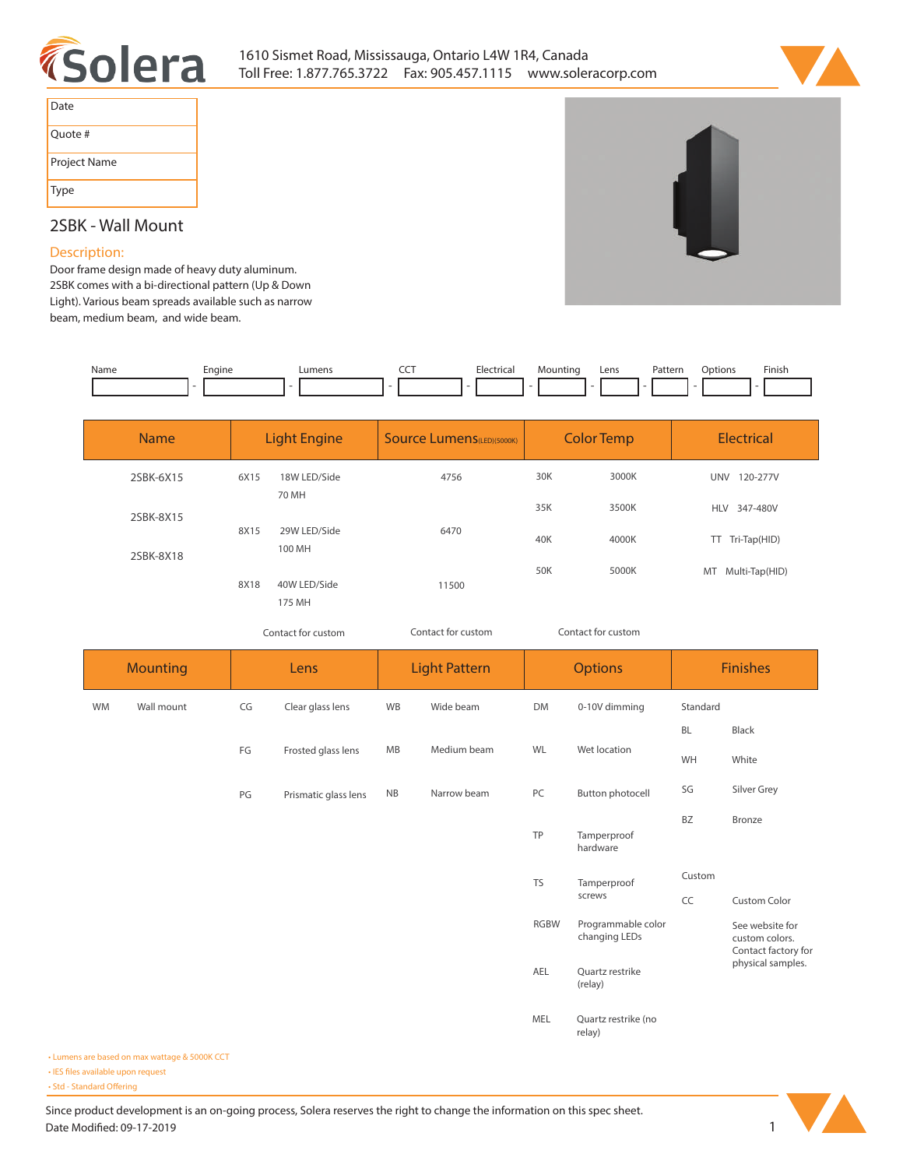



| Date         |
|--------------|
| Quote #      |
| Project Name |
| <b>Type</b>  |

## **2SBK - Wall Mount**

## **Description:**

**Door frame design made of heavy duty aluminum. 2SBK comes with a bi-directional pattern (Up & Down Light). Various beam spreads available such as narrow beam, medium beam, and wide beam.** 

| Name | Engine | Lumens | ---<br>-- | Electrical | Mountino | Lens | Pattern | <b>Dotions</b> | Finish |
|------|--------|--------|-----------|------------|----------|------|---------|----------------|--------|
|      |        |        |           |            |          |      |         |                |        |

| <b>Name</b> | <b>Light Engine</b> |                        | <b>Source Lumens</b> (LED)(5000K) |     | <b>Color Temp</b> | <b>Electrical</b>      |  |  |  |
|-------------|---------------------|------------------------|-----------------------------------|-----|-------------------|------------------------|--|--|--|
| 2SBK-6X15   | 6X15                | 18W LED/Side           | 4756                              | 30K | 3000K             | 120-277V<br><b>UNV</b> |  |  |  |
| 2SBK-8X15   |                     | 70 MH                  |                                   | 35K | 3500K             | <b>HLV</b><br>347-480V |  |  |  |
| 2SBK-8X18   | 8X15                | 29W LED/Side<br>100 MH | 6470                              | 40K | 4000K             | TT Tri-Tap(HID)        |  |  |  |
|             | 8X18                | 40W LED/Side           | 11500                             | 50K | 5000K             | Multi-Tap(HID)<br>MT   |  |  |  |
|             |                     | 175 MH                 |                                   |     |                   |                        |  |  |  |

*Contact for custom Contact for custom*

*Contact for custom*

|           | <b>Mounting</b> |    | Lens                 |           | <b>Light Pattern</b> |             | <b>Options</b>                      | <b>Finishes</b> |                                                          |  |  |
|-----------|-----------------|----|----------------------|-----------|----------------------|-------------|-------------------------------------|-----------------|----------------------------------------------------------|--|--|
| <b>WM</b> | Wall mount      | CG | Clear glass lens     | WB        | Wide beam            | <b>DM</b>   | 0-10V dimming                       | Standard        |                                                          |  |  |
|           |                 |    |                      |           |                      |             |                                     | BL              | Black                                                    |  |  |
|           |                 | FG | Frosted glass lens   | MB        | Medium beam          | WL          | Wet location                        | WH              | White                                                    |  |  |
|           |                 | PG | Prismatic glass lens | <b>NB</b> | Narrow beam          | PC          | <b>Button photocell</b>             | SG              | Silver Grey                                              |  |  |
|           |                 |    |                      |           |                      | TP          | Tamperproof<br>hardware             | <b>BZ</b>       | Bronze                                                   |  |  |
|           |                 |    |                      |           |                      | <b>TS</b>   | Tamperproof                         | Custom          |                                                          |  |  |
|           |                 |    |                      |           |                      |             | screws                              | CC              | <b>Custom Color</b>                                      |  |  |
|           |                 |    |                      |           |                      | <b>RGBW</b> | Programmable color<br>changing LEDs |                 | See website for<br>custom colors.<br>Contact factory for |  |  |
|           |                 |    |                      |           |                      | AEL         | Quartz restrike<br>(relay)          |                 | physical samples.                                        |  |  |
|           |                 |    |                      |           |                      | MEL         | Quartz restrike (no<br>relay)       |                 |                                                          |  |  |

**• Lumens are based on max wattage & 5000K CCT**

**• IES files available upon request** 

• Std - Standard Offering

Since product development is an on-going process, Solera reserves the right to change the information on this spec sheet. **Date Modified: 09-17-2019** 1